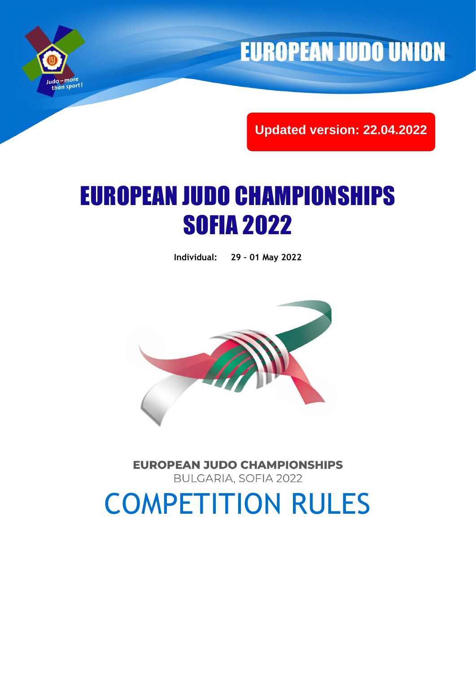

**EUROPEAN JUDO UNION** 

**Updated version: 22.04.2022**

# EUROPEAN JUDO CHAMPIONSHIPS SOFIA 2022

**Individual: 29 – 01 May 2022**



**EUROPEAN JUDO CHAMPIONSHIPS** BULGARIA, SOFIA 2022

COMPETITION RULES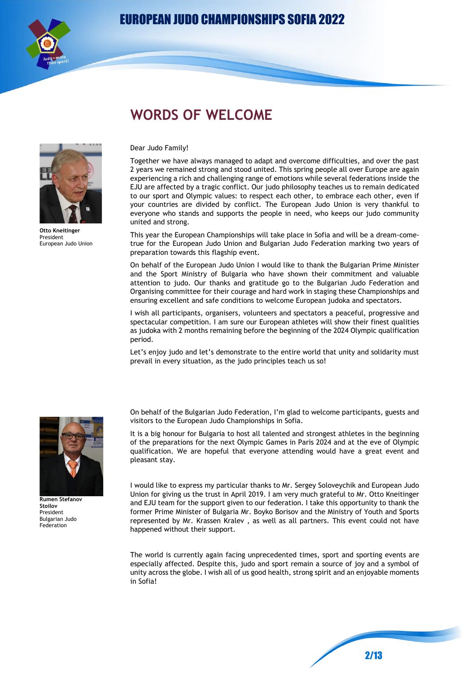

# **WORDS OF WELCOME**



**Otto Kneitinger** President European Judo Union

#### Dear Judo Family!

Together we have always managed to adapt and overcome difficulties, and over the past 2 years we remained strong and stood united. This spring people all over Europe are again experiencing a rich and challenging range of emotions while several federations inside the EJU are affected by a tragic conflict. Our judo philosophy teaches us to remain dedicated to our sport and Olympic values: to respect each other, to embrace each other, even if your countries are divided by conflict. The European Judo Union is very thankful to everyone who stands and supports the people in need, who keeps our judo community united and strong.

This year the European Championships will take place in Sofia and will be a dream-cometrue for the European Judo Union and Bulgarian Judo Federation marking two years of preparation towards this flagship event.

On behalf of the European Judo Union I would like to thank the Bulgarian Prime Minister and the Sport Ministry of Bulgaria who have shown their commitment and valuable attention to judo. Our thanks and gratitude go to the Bulgarian Judo Federation and Organising committee for their courage and hard work in staging these Championships and ensuring excellent and safe conditions to welcome European judoka and spectators.

I wish all participants, organisers, volunteers and spectators a peaceful, progressive and spectacular competition. I am sure our European athletes will show their finest qualities as judoka with 2 months remaining before the beginning of the 2024 Olympic qualification period.

Let's enjoy judo and let's demonstrate to the entire world that unity and solidarity must prevail in every situation, as the judo principles teach us so!



**Rumen Stefanov Stoilov** President Bulgarian Judo Federation

On behalf of the Bulgarian Judo Federation, I'm glad to welcome participants, guests and visitors to the European Judo Championships in Sofia.

It is a big honour for Bulgaria to host all talented and strongest athletes in the beginning of the preparations for the next Olympic Games in Paris 2024 and at the eve of Olympic qualification. We are hopeful that everyone attending would have a great event and pleasant stay.

I would like to express my particular thanks to Mr. Sergey Soloveychik and European Judo Union for giving us the trust in April 2019. I am very much grateful to Mr. Otto Kneitinger and EJU team for the support given to our federation. I take this opportunity to thank the former Prime Minister of Bulgaria Mr. Boyko Borisov and the Ministry of Youth and Sports represented by Mr. Krassen Kralev , as well as all partners. This event could not have happened without their support.

The world is currently again facing unprecedented times, sport and sporting events are especially affected. Despite this, judo and sport remain a source of joy and a symbol of unity across the globe. I wish all of us good health, strong spirit and an enjoyable moments in Sofia!

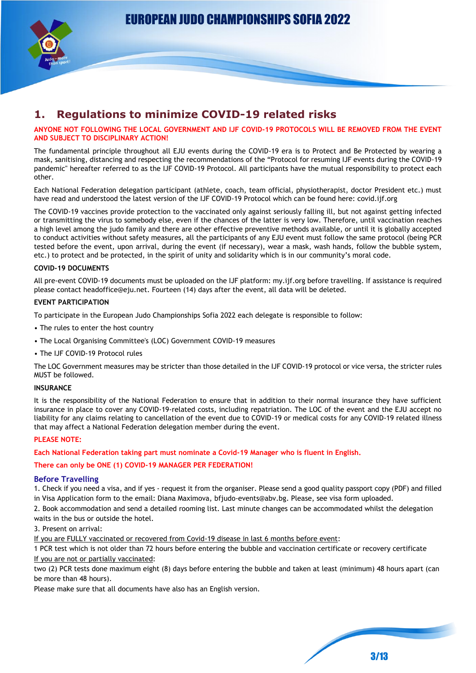



# **1. Regulations to minimize COVID-19 related risks**

#### **ANYONE NOT FOLLOWING THE LOCAL GOVERNMENT AND IJF COVID-19 PROTOCOLS WILL BE REMOVED FROM THE EVENT AND SUBJECT TO DISCIPLINARY ACTION!**

The fundamental principle throughout all EJU events during the COVID-19 era is to Protect and Be Protected by wearing a mask, sanitising, distancing and respecting the recommendations of the "Protocol for resuming IJF events during the COVID-19 pandemic" hereafter referred to as the IJF COVID-19 Protocol. All participants have the mutual responsibility to protect each other.

Each National Federation delegation participant (athlete, coach, team official, physiotherapist, doctor President etc.) must have read and understood the latest version of the IJF COVID-19 Protocol which can be found here: covid.ijf.org

The COVID-19 vaccines provide protection to the vaccinated only against seriously falling ill, but not against getting infected or transmitting the virus to somebody else, even if the chances of the latter is very low. Therefore, until vaccination reaches a high level among the judo family and there are other effective preventive methods available, or until it is globally accepted to conduct activities without safety measures, all the participants of any EJU event must follow the same protocol (being PCR tested before the event, upon arrival, during the event (if necessary), wear a mask, wash hands, follow the bubble system, etc.) to protect and be protected, in the spirit of unity and solidarity which is in our community's moral code.

#### **COVID-19 DOCUMENTS**

All pre-event COVID-19 documents must be uploaded on the IJF platform: my.ijf.org before travelling. If assistance is required please contact headoffice@eju.net. Fourteen (14) days after the event, all data will be deleted.

#### **EVENT PARTICIPATION**

To participate in the European Judo Championships Sofia 2022 each delegate is responsible to follow:

- The rules to enter the host country
- The Local Organising Committee's (LOC) Government COVID-19 measures
- The IJF COVID-19 Protocol rules

The LOC Government measures may be stricter than those detailed in the IJF COVID-19 protocol or vice versa, the stricter rules MUST be followed.

#### **INSURANCE**

It is the responsibility of the National Federation to ensure that in addition to their normal insurance they have sufficient insurance in place to cover any COVID-19-related costs, including repatriation. The LOC of the event and the EJU accept no liability for any claims relating to cancellation of the event due to COVID-19 or medical costs for any COVID-19 related illness that may affect a National Federation delegation member during the event.

#### **PLEASE NOTE:**

**Each National Federation taking part must nominate a Covid-19 Manager who is fluent in English.**

#### **There can only be ONE (1) COVID-19 MANAGER PER FEDERATION!**

#### **Before Travelling**

1. Check if you need a visa, and if yes - request it from the organiser. Please send a good quality passport copy (PDF) and filled in Visa Application form to the email: Diana Maximova, bfjudo-events@abv.bg. Please, see visa form uploaded.

2. Book accommodation and send a detailed rooming list. Last minute changes can be accommodated whilst the delegation waits in the bus or outside the hotel.

3. Present on arrival:

If you are FULLY vaccinated or recovered from Covid-19 disease in last 6 months before event:

1 PCR test which is not older than 72 hours before entering the bubble and vaccination certificate or recovery certificate If you are not or partially vaccinated:

two (2) PCR tests done maximum eight (8) days before entering the bubble and taken at least (minimum) 48 hours apart (can be more than 48 hours).

Please make sure that all documents have also has an English version.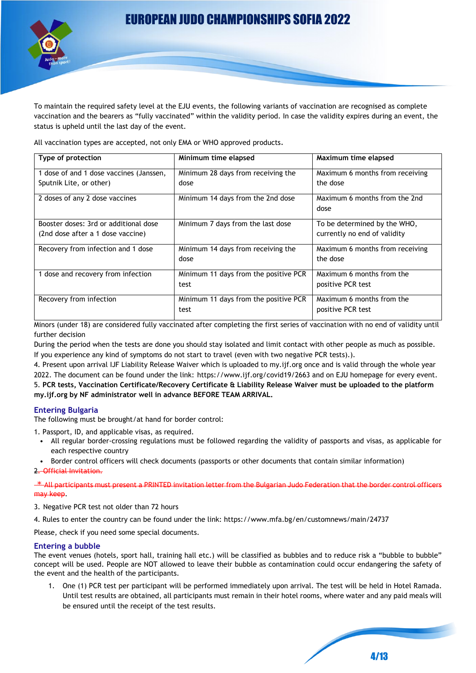

To maintain the required safety level at the EJU events, the following variants of vaccination are recognised as complete vaccination and the bearers as "fully vaccinated" within the validity period. In case the validity expires during an event, the status is upheld until the last day of the event.

All vaccination types are accepted, not only EMA or WHO approved products.

| Type of protection                      | Minimum time elapsed                  | Maximum time elapsed                  |
|-----------------------------------------|---------------------------------------|---------------------------------------|
| 1 dose of and 1 dose vaccines (Janssen, | Minimum 28 days from receiving the    | Maximum 6 months from receiving       |
| Sputnik Lite, or other)                 | dose                                  | the dose                              |
| 2 doses of any 2 dose vaccines          | Minimum 14 days from the 2nd dose     | Maximum 6 months from the 2nd<br>dose |
|                                         |                                       |                                       |
| Booster doses: 3rd or additional dose   | Minimum 7 days from the last dose     | To be determined by the WHO,          |
| (2nd dose after a 1 dose vaccine)       |                                       | currently no end of validity          |
| Recovery from infection and 1 dose      | Minimum 14 days from receiving the    | Maximum 6 months from receiving       |
|                                         | dose                                  | the dose                              |
| 1 dose and recovery from infection      | Minimum 11 days from the positive PCR | Maximum 6 months from the             |
|                                         | test                                  | positive PCR test                     |
| Recovery from infection                 | Minimum 11 days from the positive PCR | Maximum 6 months from the             |
|                                         | test                                  | positive PCR test                     |

Minors (under 18) are considered fully vaccinated after completing the first series of vaccination with no end of validity until further decision

During the period when the tests are done you should stay isolated and limit contact with other people as much as possible. If you experience any kind of symptoms do not start to travel (even with two negative PCR tests).).

4. Present upon arrival IJF Liability Release Waiver which is uploaded to my.ijf.org once and is valid through the whole year 2022. The document can be found under the link: https://www.ijf.org/covid19/2663 and on EJU homepage for every event. 5. **PCR tests, Vaccination Certificate/Recovery Certificate & Liability Release Waiver must be uploaded to the platform my.ijf.org by NF administrator well in advance BEFORE TEAM ARRIVAL.**

#### **Entering Bulgaria**

The following must be brought/at hand for border control:

- 1. Passport, ID, and applicable visas, as required.
- All regular border-crossing regulations must be followed regarding the validity of passports and visas, as applicable for each respective country
- Border control officers will check documents (passports or other documents that contain similar information)
- 2. Official Invitation.

 $*$  All participants must present a PRINTED invitation letter from the Bulgarian Judo Federation that the border control officers may keep.

3. Negative PCR test not older than 72 hours

4. Rules to enter the country can be found under the link: https://www.mfa.bg/en/customnews/main/24737

Please, check if you need some special documents.

#### **Entering a bubble**

The event venues (hotels, sport hall, training hall etc.) will be classified as bubbles and to reduce risk a "bubble to bubble" concept will be used. People are NOT allowed to leave their bubble as contamination could occur endangering the safety of the event and the health of the participants.

1. One (1) PCR test per participant will be performed immediately upon arrival. The test will be held in Hotel Ramada. Until test results are obtained, all participants must remain in their hotel rooms, where water and any paid meals will be ensured until the receipt of the test results.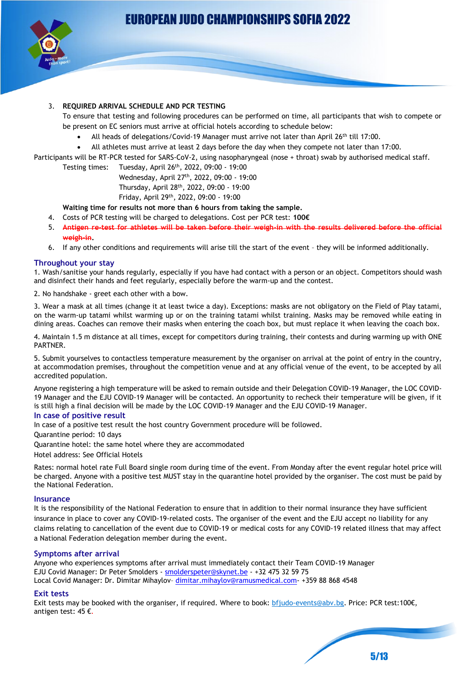

#### 3. **REQUIRED ARRIVAL SCHEDULE AND PCR TESTING**

- To ensure that testing and following procedures can be performed on time, all participants that wish to compete or be present on EC seniors must arrive at official hotels according to schedule below:
	- All heads of delegations/Covid-19 Manager must arrive not later than April 26<sup>th</sup> till 17:00.
	- All athletes must arrive at least 2 days before the day when they compete not later than 17:00.
- Participants will be RT-PCR tested for SARS-CoV-2, using nasopharyngeal (nose + throat) swab by authorised medical staff.
	- Testing times: Tuesday, April 26 th, 2022, 09:00 19:00

Wednesday, April 27 th, 2022, 09:00 - 19:00

Thursday, April 28 th, 2022, 09:00 - 19:00

Friday, April 29 th, 2022, 09:00 - 19:00

**Waiting time for results not more than 6 hours from taking the sample.**

- 4. Costs of PCR testing will be charged to delegations. Cost per PCR test: **100€**
- 5. **Antigen re-test for athletes will be taken before that weigh-in.**
- 6. If any other conditions and requirements will arise till the start of the event they will be informed additionally.

#### **Throughout your stay**

1. Wash/sanitise your hands regularly, especially if you have had contact with a person or an object. Competitors should wash and disinfect their hands and feet regularly, especially before the warm-up and the contest.

2. No handshake - greet each other with a bow.

3. Wear a mask at all times (change it at least twice a day). Exceptions: masks are not obligatory on the Field of Play tatami, on the warm-up tatami whilst warming up or on the training tatami whilst training. Masks may be removed while eating in dining areas. Coaches can remove their masks when entering the coach box, but must replace it when leaving the coach box.

4. Maintain 1.5 m distance at all times, except for competitors during training, their contests and during warming up with ONE PARTNER.

5. Submit yourselves to contactless temperature measurement by the organiser on arrival at the point of entry in the country, at accommodation premises, throughout the competition venue and at any official venue of the event, to be accepted by all accredited population.

Anyone registering a high temperature will be asked to remain outside and their Delegation COVID-19 Manager, the LOC COVID-19 Manager and the EJU COVID-19 Manager will be contacted. An opportunity to recheck their temperature will be given, if it is still high a final decision will be made by the LOC COVID-19 Manager and the EJU COVID-19 Manager.

#### **In case of positive result**

In case of a positive test result the host country Government procedure will be followed.

Quarantine period: 10 days

Quarantine hotel: the same hotel where they are accommodated

Hotel address: See Official Hotels

Rates: normal hotel rate Full Board single room during time of the event. From Monday after the event regular hotel price will be charged. Anyone with a positive test MUST stay in the quarantine hotel provided by the organiser. The cost must be paid by the National Federation.

#### **Insurance**

It is the responsibility of the National Federation to ensure that in addition to their normal insurance they have sufficient insurance in place to cover any COVID-19-related costs. The organiser of the event and the EJU accept no liability for any claims relating to cancellation of the event due to COVID-19 or medical costs for any COVID-19 related illness that may affect a National Federation delegation member during the event.

#### **Symptoms after arrival**

Anyone who experiences symptoms after arrival must immediately contact their Team COVID-19 Manager EJU Covid Manager: Dr Peter Smolders - [smolderspeter@skynet.be](mailto:smolderspeter@skynet.be) - +32 475 32 59 75 Local Covid Manager: Dr. Dimitar Mihaylov– dimitar.mihaylov@ramusmedical.com- +359 88 868 4548

#### **Exit tests**

Exit tests may be booked with the organiser, if required. Where to book: [bfjudo-events@abv.bg.](mailto:bfjudo-events@abv.bg) Price: PCR test:100€, antigen test: 45 €.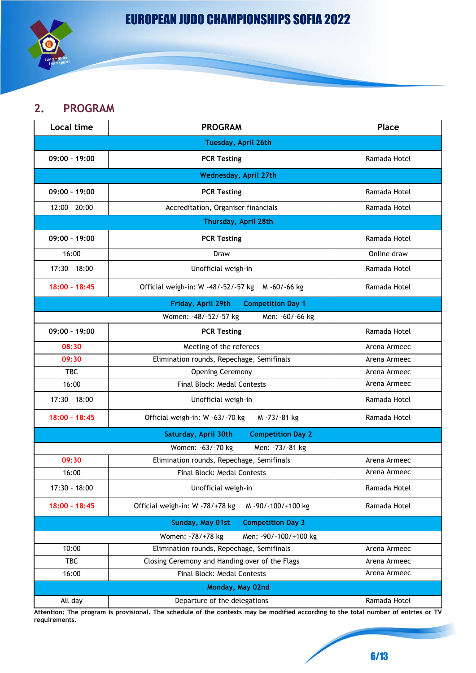# **2. PROGRAM**

| <b>Local time</b> | <b>PROGRAM</b>                                       | Place        |
|-------------------|------------------------------------------------------|--------------|
|                   | Tuesday, April 26th                                  |              |
| $09:00 - 19:00$   | <b>PCR Testing</b>                                   | Ramada Hotel |
|                   | <b>Wednesday, April 27th</b>                         |              |
| $09:00 - 19:00$   | <b>PCR Testing</b>                                   | Ramada Hotel |
| $12:00 - 20:00$   | Accreditation, Organiser financials                  | Ramada Hotel |
|                   | Thursday, April 28th                                 |              |
| 09:00 - 19:00     | <b>PCR Testing</b>                                   | Ramada Hotel |
| 16:00             | Draw                                                 | Online draw  |
| $17:30 - 18:00$   | Unofficial weigh-in                                  | Ramada Hotel |
| 18:00 - 18:45     | Official weigh-in: W -48/-52/-57 kg<br>M -60/-66 kg  | Ramada Hotel |
|                   | <b>Competition Day 1</b><br>Friday, April 29th       |              |
|                   | Women: -48/-52/-57 kg<br>Men: -60/-66 kg             |              |
| $09:00 - 19:00$   | <b>PCR Testing</b>                                   | Ramada Hotel |
| 08:30             | Meeting of the referees                              | Arena Armeec |
| 09:30             | Elimination rounds, Repechage, Semifinals            | Arena Armeec |
| <b>TBC</b>        | <b>Opening Ceremony</b>                              | Arena Armeec |
| 16:00             | Final Block: Medal Contests                          | Arena Armeec |
| $17:30 - 18:00$   | Unofficial weigh-in                                  | Ramada Hotel |
| $18:00 - 18:45$   | Official weigh-in: W -63/-70 kg<br>M-73/-81 kg       | Ramada Hotel |
|                   | Saturday, April 30th<br><b>Competition Day 2</b>     |              |
|                   | Women: -63/-70 kg<br>Men: -73/-81 kg                 |              |
| 09:30             | Elimination rounds, Repechage, Semifinals            | Arena Armeec |
| 16:00             | Final Block: Medal Contests                          | Arena Armeec |
| $17:30 - 18:00$   | Unofficial weigh-in                                  | Ramada Hotel |
| 18:00 - 18:45     | Official weigh-in: W -78/+78 kg<br>M-90/-100/+100 kg | Ramada Hotel |
|                   | Sunday, May 01st<br><b>Competition Day 3</b>         |              |
|                   | Women: -78/+78 kg<br>Men: - 90/-100/+100 kg          |              |
| 10:00             | Elimination rounds, Repechage, Semifinals            | Arena Armeec |
| <b>TBC</b>        | Closing Ceremony and Handing over of the Flags       | Arena Armeec |
| 16:00             | Final Block: Medal Contests                          | Arena Armeec |
| Monday, May 02nd  |                                                      |              |
| All day           | Departure of the delegations                         | Ramada Hotel |

**Attention: The program is provisional. The schedule of the contests may be modified according to the total number of entries or TV requirements.**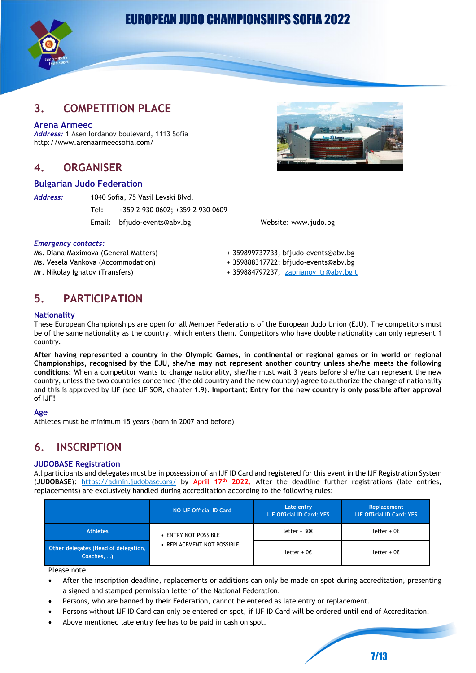

### **3. COMPETITION PLACE**

#### **Arena Armeec**

*Address:* 1 Asen Iordanov boulevard, 1113 Sofia http://www.arenaarmeecsofia.com/

### **4. ORGANISER**

#### **Bulgarian Judo Federation**

*Address:* 1040 Sofia, 75 Vasil Levski Blvd.

Tel: +359 2 930 0602; +359 2 930 0609

Email: bfjudo-events@abv.bg Website: www.judo.bg



#### *Emergency contacts:*

Ms. Diana Maximova (General Matters) + 359899737733; bfjudo-events@abv.bg Ms. Vesela Vankova (Accommodation) + 359888317722; bfjudo-events@abv.bg

Mr. Nikolay Ignatov (Transfers)  $+359884797237$ ; [zaprianov\\_tr@abv.bg t](mailto:portugalevents@fpj.pt)

# **5. PARTICIPATION**

#### **Nationality**

These European Championships are open for all Member Federations of the European Judo Union (EJU). The competitors must be of the same nationality as the country, which enters them. Competitors who have double nationality can only represent 1 country.

**After having represented a country in the Olympic Games, in continental or regional games or in world or regional Championships, recognised by the EJU, she/he may not represent another country unless she/he meets the following conditions:** When a competitor wants to change nationality, she/he must wait 3 years before she/he can represent the new country, unless the two countries concerned (the old country and the new country) agree to authorize the change of nationality and this is approved by IJF (see IJF SOR, chapter 1.9). **Important: Entry for the new country is only possible after approval of IJF!**

#### **Age**

Athletes must be minimum 15 years (born in 2007 and before)

# **6. INSCRIPTION**

#### **JUDOBASE Registration**

All participants and delegates must be in possession of an IJF ID Card and registered for this event in the IJF Registration System (**JUDOBASE**): <https://admin.judobase.org/> by **April 17th 2022.** After the deadline further registrations (late entries, replacements) are exclusively handled during accreditation according to the following rules:

|                                                    | NO IJF Official ID Card                            | Late entry<br><b>IJF Official ID Card: YES</b> | Replacement<br><b>IJF Official ID Card: YES</b> |
|----------------------------------------------------|----------------------------------------------------|------------------------------------------------|-------------------------------------------------|
| <b>Athletes</b>                                    | • ENTRY NOT POSSIBLE<br>• REPLACEMENT NOT POSSIBLE | letter + $302$                                 | letter + $0 \in$                                |
| Other delegates (Head of delegation,<br>Coaches, ) |                                                    | letter + $0 \epsilon$                          | letter + $0 \in$                                |

Please note:

- After the inscription deadline, replacements or additions can only be made on spot during accreditation, presenting a signed and stamped permission letter of the National Federation.
- Persons, who are banned by their Federation, cannot be entered as late entry or replacement.
- Persons without IJF ID Card can only be entered on spot, if IJF ID Card will be ordered until end of Accreditation.
- Above mentioned late entry fee has to be paid in cash on spot.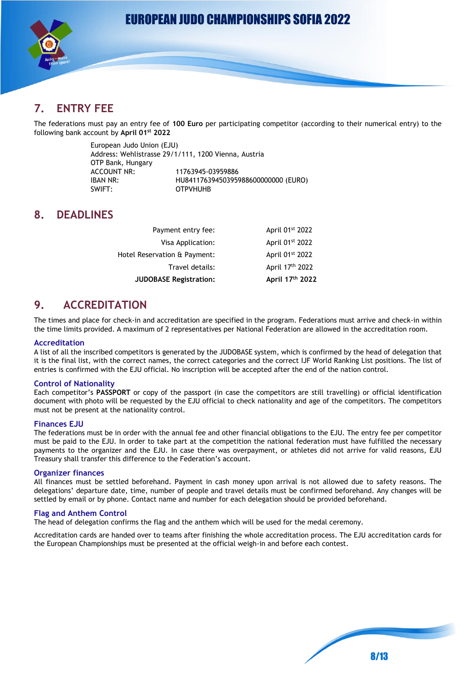

# **7. ENTRY FEE**

The federations must pay an entry fee of **100 Euro** per participating competitor (according to their numerical entry) to the following bank account by **April 01st 2022**

> European Judo Union (EJU) Address: Wehlistrasse 29/1/111, 1200 Vienna, Austria OTP Bank, Hungary ACCOUNT NR: 11763945-03959886<br>IBAN NR: 111841176394503959 IBAN NR: HU84117639450395988600000000 (EURO) SWIFT: OTPVHUHB

# **8. DEADLINES**

| <b>JUDOBASE Registration:</b> | April 17th 2022 |
|-------------------------------|-----------------|
| Travel details:               | April 17th 2022 |
| Hotel Reservation & Payment:  | April 01st 2022 |
| Visa Application:             | April 01st 2022 |
| Payment entry fee:            | April 01st 2022 |

# **9. ACCREDITATION**

The times and place for check-in and accreditation are specified in the program. Federations must arrive and check-in within the time limits provided. A maximum of 2 representatives per National Federation are allowed in the accreditation room.

#### **Accreditation**

A list of all the inscribed competitors is generated by the JUDOBASE system, which is confirmed by the head of delegation that it is the final list, with the correct names, the correct categories and the correct IJF World Ranking List positions. The list of entries is confirmed with the EJU official. No inscription will be accepted after the end of the nation control.

#### **Control of Nationality**

Each competitor's **PASSPORT** or copy of the passport (in case the competitors are still travelling) or official identification document with photo will be requested by the EJU official to check nationality and age of the competitors. The competitors must not be present at the nationality control.

#### **Finances EJU**

The federations must be in order with the annual fee and other financial obligations to the EJU. The entry fee per competitor must be paid to the EJU. In order to take part at the competition the national federation must have fulfilled the necessary payments to the organizer and the EJU. In case there was overpayment, or athletes did not arrive for valid reasons, EJU Treasury shall transfer this difference to the Federation's account.

#### **Organizer finances**

All finances must be settled beforehand. Payment in cash money upon arrival is not allowed due to safety reasons. The delegations' departure date, time, number of people and travel details must be confirmed beforehand. Any changes will be settled by email or by phone. Contact name and number for each delegation should be provided beforehand.

#### **Flag and Anthem Control**

The head of delegation confirms the flag and the anthem which will be used for the medal ceremony.

Accreditation cards are handed over to teams after finishing the whole accreditation process. The EJU accreditation cards for the European Championships must be presented at the official weigh-in and before each contest.

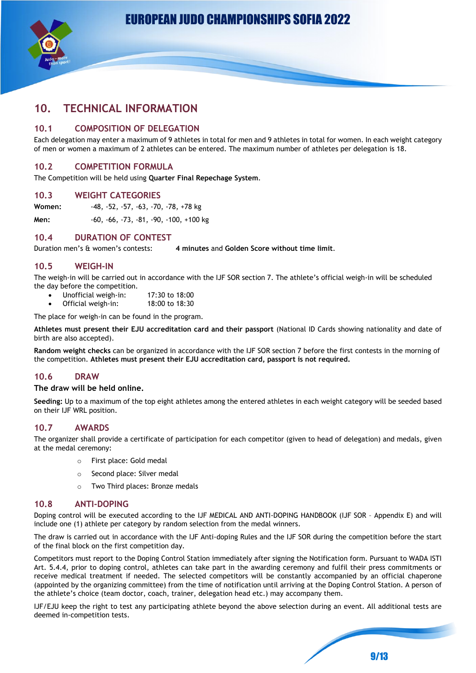



### **10. TECHNICAL INFORMATION**

#### **10.1 COMPOSITION OF DELEGATION**

Each delegation may enter a maximum of 9 athletes in total for men and 9 athletes in total for women. In each weight category of men or women a maximum of 2 athletes can be entered. The maximum number of athletes per delegation is 18.

#### **10.2 COMPETITION FORMULA**

The Competition will be held using **Quarter Final Repechage System**.

#### **10.3 WEIGHT CATEGORIES**

**Women:** -48, -52, -57, -63, -70, -78, +78 kg **Men:** -60, -66, -73, -81, -90, -100, +100 kg

#### **10.4 DURATION OF CONTEST**

Duration men's & women's contests: **4 minutes** and **Golden Score without time limit**.

#### **10.5 WEIGH-IN**

The weigh-in will be carried out in accordance with the IJF SOR section 7. The athlete's official weigh-in will be scheduled the day before the competition.

- Unofficial weigh-in: 17:30 to 18:00
- Official weigh-in: 18:00 to 18:30

The place for weigh-in can be found in the program.

**Athletes must present their EJU accreditation card and their passport** (National ID Cards showing nationality and date of birth are also accepted).

**Random weight checks** can be organized in accordance with the IJF SOR section 7 before the first contests in the morning of the competition. **Athletes must present their EJU accreditation card, passport is not required.**

#### **10.6 DRAW**

#### **The draw will be held online.**

**Seeding:** Up to a maximum of the top eight athletes among the entered athletes in each weight category will be seeded based on their IJF WRL position.

#### **10.7 AWARDS**

The organizer shall provide a certificate of participation for each competitor (given to head of delegation) and medals, given at the medal ceremony:

- o First place: Gold medal
- o Second place: Silver medal
- Two Third places: Bronze medals

#### **10.8 ANTI-DOPING**

Doping control will be executed according to the IJF MEDICAL AND ANTI-DOPING HANDBOOK (IJF SOR – Appendix E) and will include one (1) athlete per category by random selection from the medal winners.

The draw is carried out in accordance with the IJF Anti-doping Rules and the IJF SOR during the competition before the start of the final block on the first competition day.

Competitors must report to the Doping Control Station immediately after signing the Notification form. Pursuant to WADA ISTI Art. 5.4.4, prior to doping control, athletes can take part in the awarding ceremony and fulfil their press commitments or receive medical treatment if needed. The selected competitors will be constantly accompanied by an official chaperone (appointed by the organizing committee) from the time of notification until arriving at the Doping Control Station. A person of the athlete's choice (team doctor, coach, trainer, delegation head etc.) may accompany them.

IJF/EJU keep the right to test any participating athlete beyond the above selection during an event. All additional tests are deemed in-competition tests.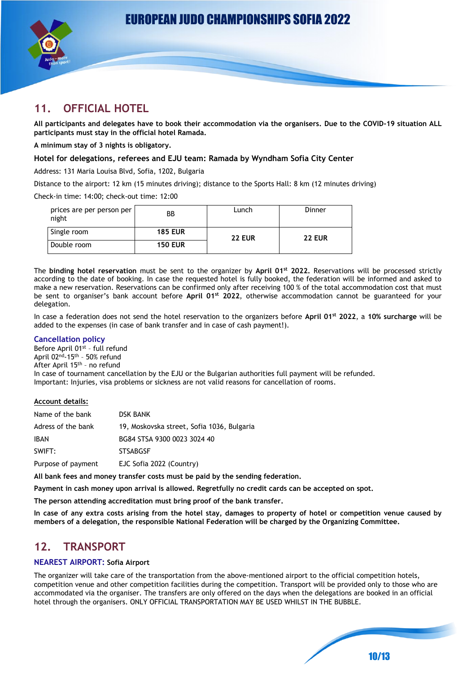

# **11. OFFICIAL HOTEL**

**All participants and delegates have to book their accommodation via the organisers. Due to the COVID-19 situation ALL participants must stay in the official hotel Ramada.**

**A minimum stay of 3 nights is obligatory.**

#### **Hotel for delegations, referees and EJU team: Ramada by Wyndham Sofia City Center**

Address: 131 Maria Louisa Blvd, Sofia, 1202, Bulgaria

Distance to the airport: 12 km (15 minutes driving); distance to the Sports Hall: 8 km (12 minutes driving)

Check-in time: 14:00; check-out time: 12:00

| prices are per person per<br>night | ВB             | Lunch         | Dinner        |
|------------------------------------|----------------|---------------|---------------|
| Single room                        | <b>185 EUR</b> | <b>22 EUR</b> | <b>22 EUR</b> |
| Double room                        | <b>150 EUR</b> |               |               |

The **binding hotel reservation** must be sent to the organizer by **April 01st 2022.** Reservations will be processed strictly according to the date of booking. In case the requested hotel is fully booked, the federation will be informed and asked to make a new reservation. Reservations can be confirmed only after receiving 100 % of the total accommodation cost that must be sent to organiser's bank account before **April 01st 2022**, otherwise accommodation cannot be guaranteed for your delegation.

In case a federation does not send the hotel reservation to the organizers before **April 01st 2022**, a **10% surcharge** will be added to the expenses (in case of bank transfer and in case of cash payment!).

#### **Cancellation policy**

Before April 01<sup>st</sup> - full refund April 02<sup>nd</sup>-15<sup>th</sup> - 50% refund After April 15<sup>th</sup> - no refund In case of tournament cancellation by the EJU or the Bulgarian authorities full payment will be refunded. Important: Injuries, visa problems or sickness are not valid reasons for cancellation of rooms.

#### **Account details:**

| Name of the bank   | <b>DSK BANK</b>                            |
|--------------------|--------------------------------------------|
| Adress of the bank | 19, Moskovska street, Sofia 1036, Bulgaria |
| <b>IBAN</b>        | BG84 STSA 9300 0023 3024 40                |
| SWIFT:             | <b>STSABGSF</b>                            |
| Purpose of payment | EJC Sofia 2022 (Country)                   |

**All bank fees and money transfer costs must be paid by the sending federation.**

**Payment in cash money upon arrival is allowed. Regretfully no credit cards can be accepted on spot.**

**The person attending accreditation must bring proof of the bank transfer.**

**In case of any extra costs arising from the hotel stay, damages to property of hotel or competition venue caused by members of a delegation, the responsible National Federation will be charged by the Organizing Committee.**

### **12. TRANSPORT**

#### **NEAREST AIRPORT: Sofia Airport**

The organizer will take care of the transportation from the above-mentioned airport to the official competition hotels, competition venue and other competition facilities during the competition. Transport will be provided only to those who are accommodated via the organiser. The transfers are only offered on the days when the delegations are booked in an official hotel through the organisers. ONLY OFFICIAL TRANSPORTATION MAY BE USED WHILST IN THE BUBBLE.

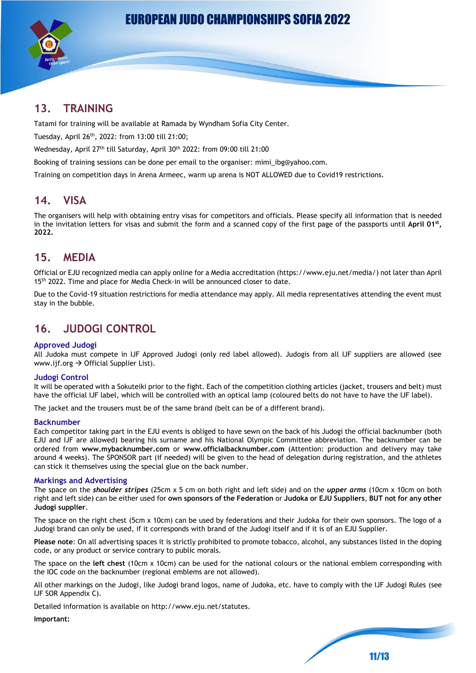

# **13. TRAINING**

Tatami for training will be available at Ramada by Wyndham Sofia City Center.

Tuesday, April 26th, 2022: from 13:00 till 21:00;

Wednesday, April 27th till Saturday, April 30th 2022: from 09:00 till 21:00

Booking of training sessions can be done per email to the organiser: mimi\_ibg@yahoo.com.

Training on competition days in Arena Armeec, warm up arena is NOT ALLOWED due to Covid19 restrictions.

### **14. VISA**

The organisers will help with obtaining entry visas for competitors and officials. Please specify all information that is needed in the invitation letters for visas and submit the form and a scanned copy of the first page of the passports until **April 01st , 2022.**

### **15. MEDIA**

Official or EJU recognized media can apply online for a Media accreditation (https://www.eju.net/media/) not later than April 15<sup>th</sup> 2022. Time and place for Media Check-in will be announced closer to date.

Due to the Covid-19 situation restrictions for media attendance may apply. All media representatives attending the event must stay in the bubble.

# **16. JUDOGI CONTROL**

#### **Approved Judogi**

All Judoka must compete in IJF Approved Judogi (only red label allowed). Judogis from all IJF suppliers are allowed (see www.ijf.org  $\rightarrow$  Official Supplier List).

#### **Judogi Control**

It will be operated with a Sokuteiki prior to the fight. Each of the competition clothing articles (jacket, trousers and belt) must have the official IJF label, which will be controlled with an optical lamp (coloured belts do not have to have the IJF label).

The jacket and the trousers must be of the same brand (belt can be of a different brand).

#### **Backnumber**

Each competitor taking part in the EJU events is obliged to have sewn on the back of his Judogi the official backnumber (both EJU and IJF are allowed) bearing his surname and his National Olympic Committee abbreviation. The backnumber can be ordered from **[www.mybacknumber.com](http://www.mybacknumber.com/)** or **www.officialbacknumber.com** (Attention: production and delivery may take around 4 weeks). The SPONSOR part (if needed) will be given to the head of delegation during registration, and the athletes can stick it themselves using the special glue on the back number.

#### **Markings and Advertising**

The space on the *shoulder stripes* (25cm x 5 cm on both right and left side) and on the *upper arms* (10cm x 10cm on both right and left side) can be either used for **own sponsors of the Federation** or **Judoka or EJU Suppliers**, **BUT not for any other Judogi supplier**.

The space on the right chest (5cm x 10cm) can be used by federations and their Judoka for their own sponsors. The logo of a Judogi brand can only be used, if it corresponds with brand of the Judogi itself and if it is of an EJU Supplier.

**Please note**: On all advertising spaces it is strictly prohibited to promote tobacco, alcohol, any substances listed in the doping code, or any product or service contrary to public morals.

The space on the **left chest** (10cm x 10cm) can be used for the national colours or the national emblem corresponding with the IOC code on the backnumber (regional emblems are not allowed).

All other markings on the Judogi, like Judogi brand logos, name of Judoka, etc. have to comply with the IJF Judogi Rules (see IJF SOR Appendix C).

Detailed information is available on [http://www.eju.net/statutes.](http://www.eju.net/statutes)

**Important:**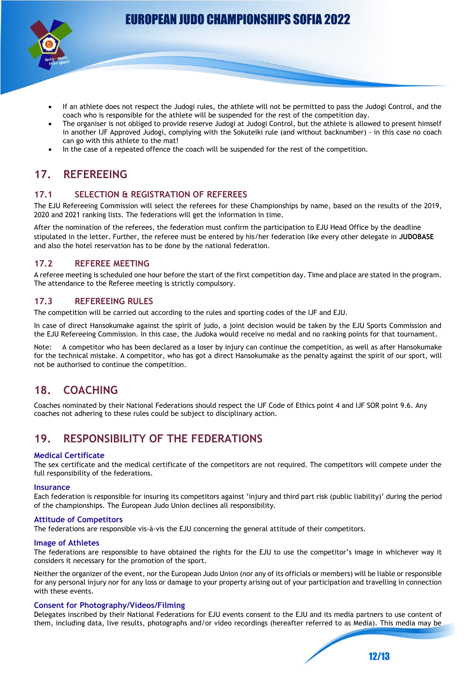

- If an athlete does not respect the Judogi rules, the athlete will not be permitted to pass the Judogi Control, and the coach who is responsible for the athlete will be suspended for the rest of the competition day.
- The organiser is not obliged to provide reserve Judogi at Judogi Control, but the athlete is allowed to present himself in another IJF Approved Judogi, complying with the Sokuteiki rule (and without backnumber) - in this case no coach can go with this athlete to the mat!
- In the case of a repeated offence the coach will be suspended for the rest of the competition.

# **17. REFEREEING**

#### **17.1 SELECTION & REGISTRATION OF REFEREES**

The EJU Refereeing Commission will select the referees for these Championships by name, based on the results of the 2019, 2020 and 2021 ranking lists. The federations will get the information in time.

After the nomination of the referees, the federation must confirm the participation to EJU Head Office by the deadline stipulated in the letter. Further, the referee must be entered by his/her federation like every other delegate in **JUDOBASE** and also the hotel reservation has to be done by the national federation.

#### **17.2 REFEREE MEETING**

A referee meeting is scheduled one hour before the start of the first competition day. Time and place are stated in the program. The attendance to the Referee meeting is strictly compulsory.

#### **17.3 REFEREEING RULES**

The competition will be carried out according to the rules and sporting codes of the IJF and EJU.

In case of direct Hansokumake against the spirit of judo, a joint decision would be taken by the EJU Sports Commission and the EJU Refereeing Commission. In this case, the Judoka would receive no medal and no ranking points for that tournament.

Note: A competitor who has been declared as a loser by injury can continue the competition, as well as after Hansokumake for the technical mistake. A competitor, who has got a direct Hansokumake as the penalty against the spirit of our sport, will not be authorised to continue the competition.

# **18. COACHING**

Coaches nominated by their National Federations should respect the IJF Code of Ethics point 4 and IJF SOR point 9.6. Any coaches not adhering to these rules could be subject to disciplinary action.

# **19. RESPONSIBILITY OF THE FEDERATIONS**

#### **Medical Certificate**

The sex certificate and the medical certificate of the competitors are not required. The competitors will compete under the full responsibility of the federations.

#### **Insurance**

Each federation is responsible for insuring its competitors against 'injury and third part risk (public liability)' during the period of the championships. The European Judo Union declines all responsibility.

#### **Attitude of Competitors**

The federations are responsible vis-à-vis the EJU concerning the general attitude of their competitors.

#### **Image of Athletes**

The federations are responsible to have obtained the rights for the EJU to use the competitor's image in whichever way it considers it necessary for the promotion of the sport.

Neither the organizer of the event, nor the European Judo Union (nor any of its officials or members) will be liable or responsible for any personal injury nor for any loss or damage to your property arising out of your participation and travelling in connection with these events.

#### **Consent for Photography/Videos/Filming**

Delegates inscribed by their National Federations for EJU events consent to the EJU and its media partners to use content of them, including data, live results, photographs and/or video recordings (hereafter referred to as Media). This media may be